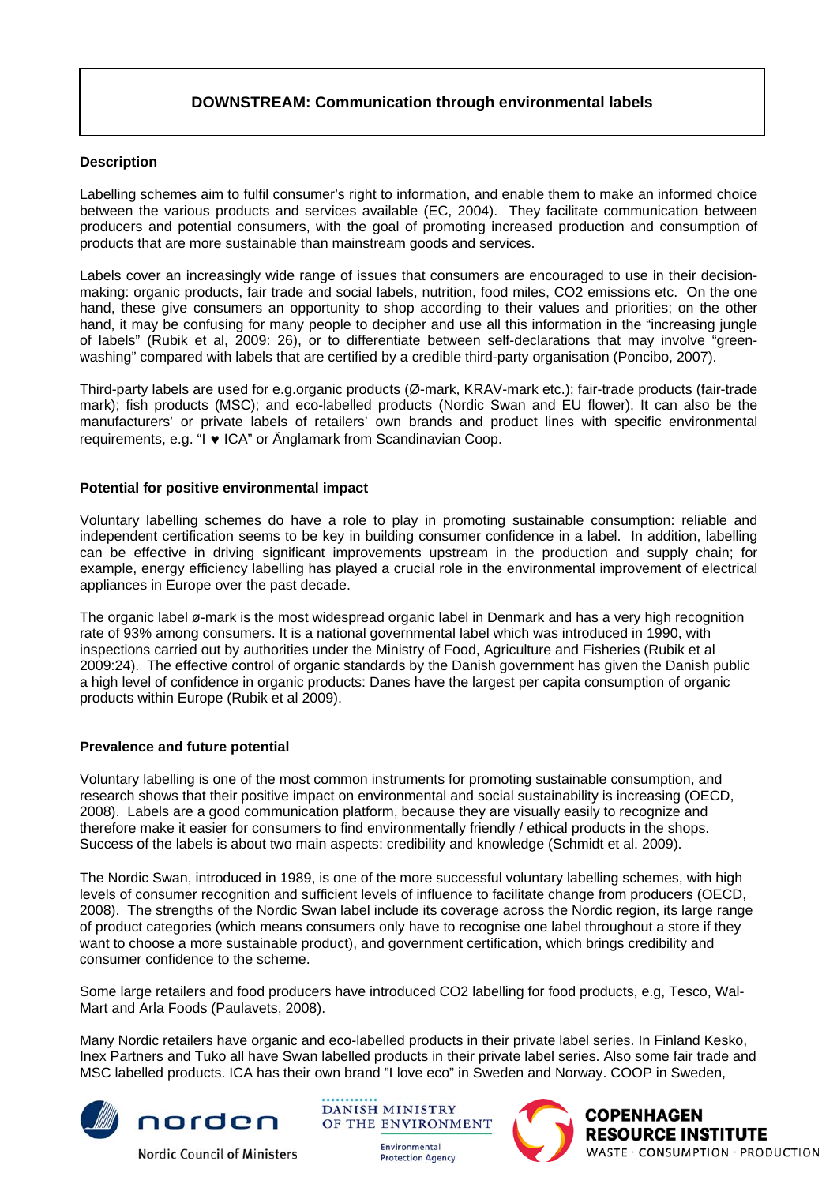# **DOWNSTREAM: Communication through environmental labels**

## **Description**

Labelling schemes aim to fulfil consumer's right to information, and enable them to make an informed choice between the various products and services available (EC, 2004). They facilitate communication between producers and potential consumers, with the goal of promoting increased production and consumption of products that are more sustainable than mainstream goods and services.

Labels cover an increasingly wide range of issues that consumers are encouraged to use in their decisionmaking: organic products, fair trade and social labels, nutrition, food miles, CO2 emissions etc. On the one hand, these give consumers an opportunity to shop according to their values and priorities; on the other hand, it may be confusing for many people to decipher and use all this information in the "increasing jungle of labels" (Rubik et al, 2009: 26), or to differentiate between self-declarations that may involve "greenwashing" compared with labels that are certified by a credible third-party organisation (Poncibo, 2007).

Third-party labels are used for e.g.organic products (Ø-mark, KRAV-mark etc.); fair-trade products (fair-trade mark); fish products (MSC); and eco-labelled products (Nordic Swan and EU flower). It can also be the manufacturers' or private labels of retailers' own brands and product lines with specific environmental requirements, e.g. "I ♥ ICA" or Änglamark from Scandinavian Coop.

## **Potential for positive environmental impact**

Voluntary labelling schemes do have a role to play in promoting sustainable consumption: reliable and independent certification seems to be key in building consumer confidence in a label. In addition, labelling can be effective in driving significant improvements upstream in the production and supply chain; for example, energy efficiency labelling has played a crucial role in the environmental improvement of electrical appliances in Europe over the past decade.

The organic label ø-mark is the most widespread organic label in Denmark and has a very high recognition rate of 93% among consumers. It is a national governmental label which was introduced in 1990, with inspections carried out by authorities under the Ministry of Food, Agriculture and Fisheries (Rubik et al 2009:24). The effective control of organic standards by the Danish government has given the Danish public a high level of confidence in organic products: Danes have the largest per capita consumption of organic products within Europe (Rubik et al 2009).

#### **Prevalence and future potential**

Voluntary labelling is one of the most common instruments for promoting sustainable consumption, and research shows that their positive impact on environmental and social sustainability is increasing (OECD, 2008). Labels are a good communication platform, because they are visually easily to recognize and therefore make it easier for consumers to find environmentally friendly / ethical products in the shops. Success of the labels is about two main aspects: credibility and knowledge (Schmidt et al. 2009).

The Nordic Swan, introduced in 1989, is one of the more successful voluntary labelling schemes, with high levels of consumer recognition and sufficient levels of influence to facilitate change from producers (OECD, 2008). The strengths of the Nordic Swan label include its coverage across the Nordic region, its large range of product categories (which means consumers only have to recognise one label throughout a store if they want to choose a more sustainable product), and government certification, which brings credibility and consumer confidence to the scheme.

Some large retailers and food producers have introduced CO2 labelling for food products, e.g, Tesco, Wal-Mart and Arla Foods (Paulavets, 2008).

Many Nordic retailers have organic and eco-labelled products in their private label series. In Finland Kesko, Inex Partners and Tuko all have Swan labelled products in their private label series. Also some fair trade and MSC labelled products. ICA has their own brand "I love eco" in Sweden and Norway. COOP in Sweden,



**Nordic Council of Ministers** 

**DANISH MINISTRY** OF THE ENVIRONMENT

> Environmental **Protection Agency**

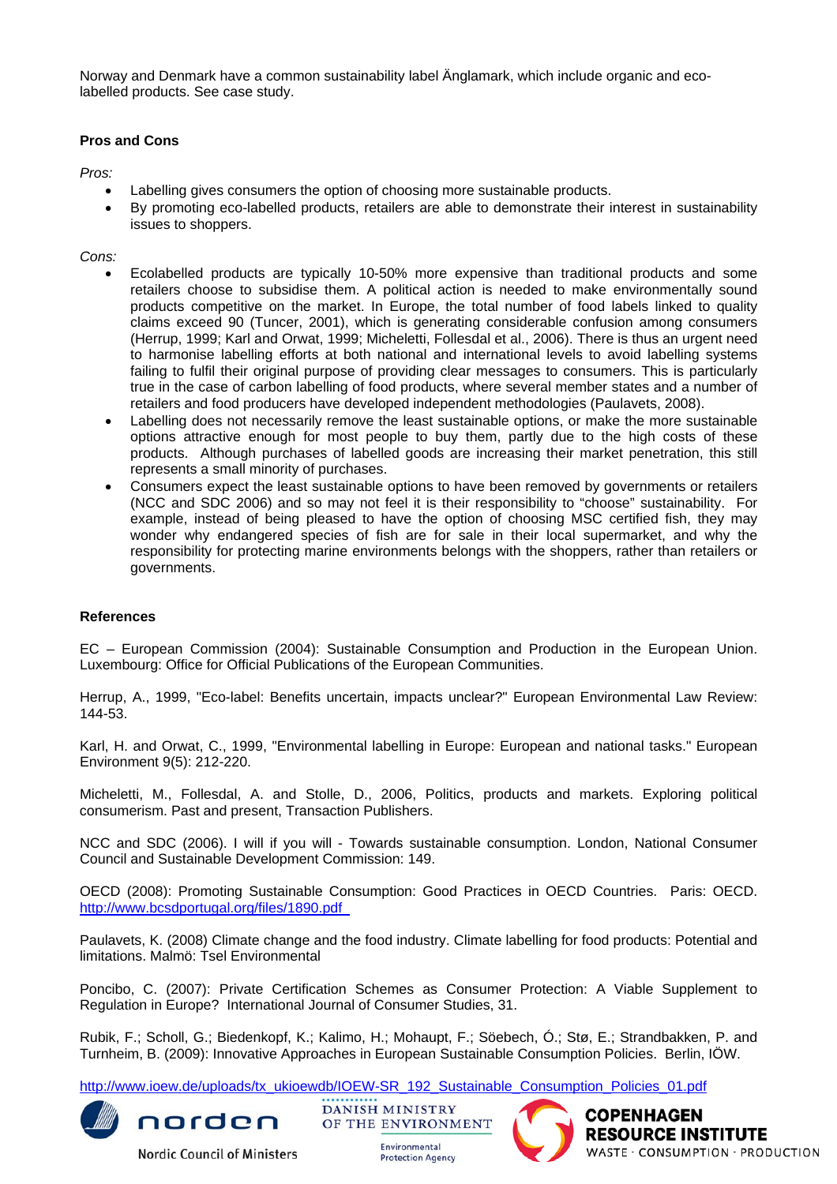Norway and Denmark have a common sustainability label Änglamark, which include organic and ecolabelled products. See case study.

## **Pros and Cons**

*Pros:* 

- Labelling gives consumers the option of choosing more sustainable products.
- By promoting eco-labelled products, retailers are able to demonstrate their interest in sustainability issues to shoppers.

*Cons:* 

- Ecolabelled products are typically 10-50% more expensive than traditional products and some retailers choose to subsidise them. A political action is needed to make environmentally sound products competitive on the market. In Europe, the total number of food labels linked to quality claims exceed 90 (Tuncer, 2001), which is generating considerable confusion among consumers (Herrup, 1999; Karl and Orwat, 1999; Micheletti, Follesdal et al., 2006). There is thus an urgent need to harmonise labelling efforts at both national and international levels to avoid labelling systems failing to fulfil their original purpose of providing clear messages to consumers. This is particularly true in the case of carbon labelling of food products, where several member states and a number of retailers and food producers have developed independent methodologies (Paulavets, 2008).
- Labelling does not necessarily remove the least sustainable options, or make the more sustainable options attractive enough for most people to buy them, partly due to the high costs of these products. Although purchases of labelled goods are increasing their market penetration, this still represents a small minority of purchases.
- Consumers expect the least sustainable options to have been removed by governments or retailers (NCC and SDC 2006) and so may not feel it is their responsibility to "choose" sustainability. For example, instead of being pleased to have the option of choosing MSC certified fish, they may wonder why endangered species of fish are for sale in their local supermarket, and why the responsibility for protecting marine environments belongs with the shoppers, rather than retailers or governments.

#### **References**

EC – European Commission (2004): Sustainable Consumption and Production in the European Union. Luxembourg: Office for Official Publications of the European Communities.

Herrup, A., 1999, "Eco-label: Benefits uncertain, impacts unclear?" European Environmental Law Review: 144-53.

Karl, H. and Orwat, C., 1999, "Environmental labelling in Europe: European and national tasks." European Environment 9(5): 212-220.

Micheletti, M., Follesdal, A. and Stolle, D., 2006, Politics, products and markets. Exploring political consumerism. Past and present, Transaction Publishers.

NCC and SDC (2006). I will if you will - Towards sustainable consumption. London, National Consumer Council and Sustainable Development Commission: 149.

OECD (2008): Promoting Sustainable Consumption: Good Practices in OECD Countries. Paris: OECD. <http://www.bcsdportugal.org/files/1890.pdf>

Paulavets, K. (2008) Climate change and the food industry. Climate labelling for food products: Potential and limitations. Malmö: Tsel Environmental

Poncibo, C. (2007): Private Certification Schemes as Consumer Protection: A Viable Supplement to Regulation in Europe? International Journal of Consumer Studies, 31.

Rubik, F.; Scholl, G.; Biedenkopf, K.; Kalimo, H.; Mohaupt, F.; Söebech, Ó.; Stø, E.; Strandbakken, P. and Turnheim, B. (2009): [Innovative Approaches in European Sustainable Consumption Policies](http://www.ioew.de/en/publications/publication_single/Innovative_Approaches_in_European_Sustainable_Consumption_Policies/). Berlin, IÖW.

[http://www.ioew.de/uploads/tx\\_ukioewdb/IOEW-SR\\_192\\_Sustainable\\_Consumption\\_Policies\\_01.pdf](http://www.ioew.de/uploads/tx_ukioewdb/IOEW-SR_192_Sustainable_Consumption_Policies_01.pdf)



**Nordic Council of Ministers** 

**DANISH MINISTRY** norden OF THE ENVIRONMENT